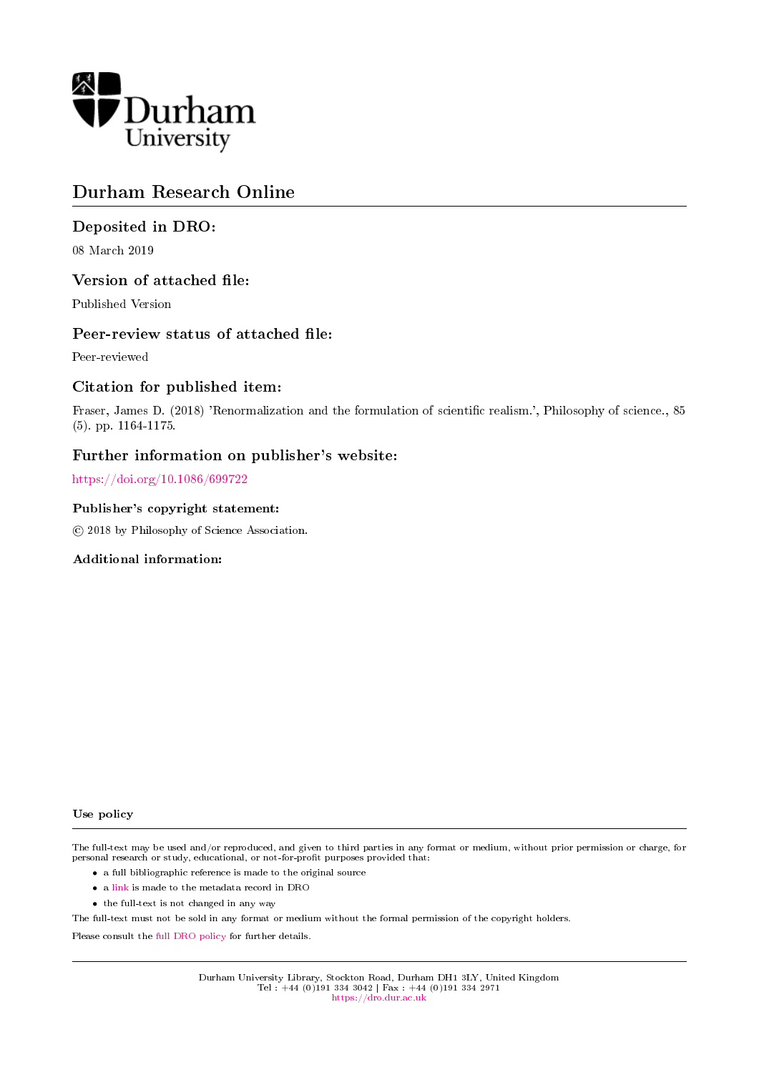

## Durham Research Online

### Deposited in DRO:

08 March 2019

#### Version of attached file:

Published Version

#### Peer-review status of attached file:

Peer-reviewed

#### Citation for published item:

Fraser, James D. (2018) 'Renormalization and the formulation of scientic realism.', Philosophy of science., 85 (5). pp. 1164-1175.

#### Further information on publisher's website:

<https://doi.org/10.1086/699722>

#### Publisher's copyright statement:

c 2018 by Philosophy of Science Association.

#### Additional information:

#### Use policy

The full-text may be used and/or reproduced, and given to third parties in any format or medium, without prior permission or charge, for personal research or study, educational, or not-for-profit purposes provided that:

- a full bibliographic reference is made to the original source
- a [link](http://dro.dur.ac.uk/27619/) is made to the metadata record in DRO
- the full-text is not changed in any way

The full-text must not be sold in any format or medium without the formal permission of the copyright holders.

Please consult the [full DRO policy](https://dro.dur.ac.uk/policies/usepolicy.pdf) for further details.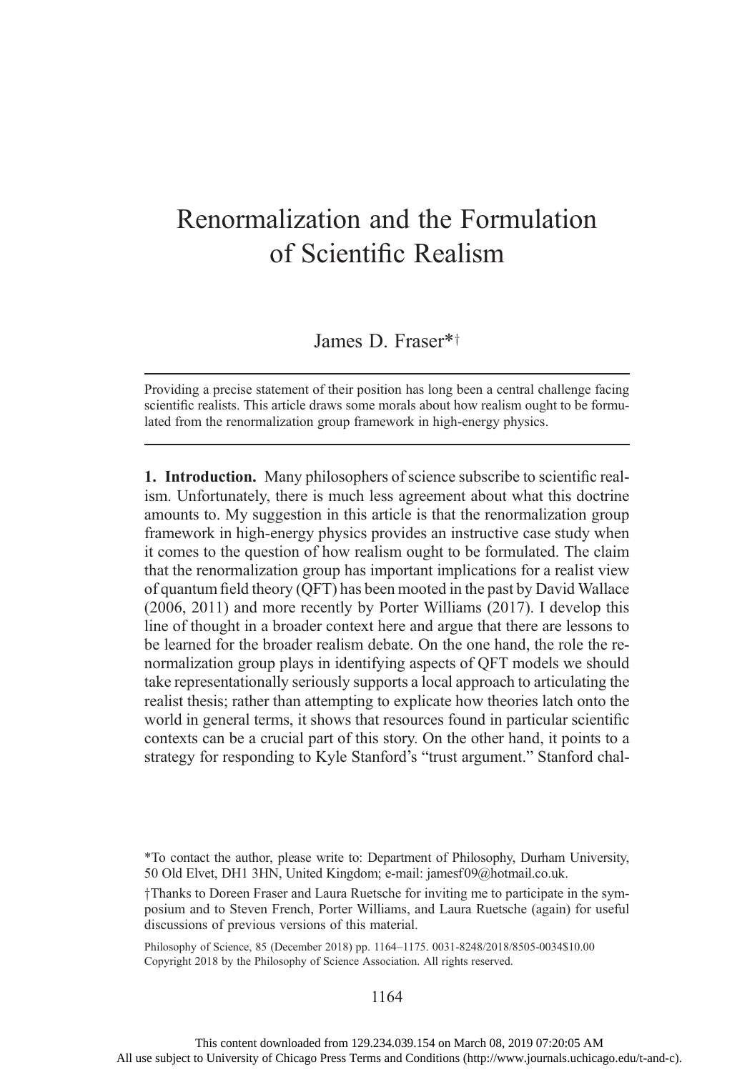# Renormalization and the Formulation of Scientific Realism

James D. Fraser\*<sup>†</sup>

Providing a precise statement of their position has long been a central challenge facing scientific realists. This article draws some morals about how realism ought to be formulated from the renormalization group framework in high-energy physics.

1. Introduction. Many philosophers of science subscribe to scientific realism. Unfortunately, there is much less agreement about what this doctrine amounts to. My suggestion in this article is that the renormalization group framework in high-energy physics provides an instructive case study when it comes to the question of how realism ought to be formulated. The claim that the renormalization group has important implications for a realist view of quantum field theory (QFT) has been mooted in the past by David Wallace (2006, 2011) and more recently by Porter Williams (2017). I develop this line of thought in a broader context here and argue that there are lessons to be learned for the broader realism debate. On the one hand, the role the renormalization group plays in identifying aspects of QFT models we should take representationally seriously supports a local approach to articulating the realist thesis; rather than attempting to explicate how theories latch onto the world in general terms, it shows that resources found in particular scientific contexts can be a crucial part of this story. On the other hand, it points to a strategy for responding to Kyle Stanford's "trust argument." Stanford chal-

\*To contact the author, please write to: Department of Philosophy, Durham University, 50 Old Elvet, DH1 3HN, United Kingdom; e-mail: jamesf 09@hotmail.co.uk.

Thanks to Doreen Fraser and Laura Ruetsche for inviting me to participate in the symposium and to Steven French, Porter Williams, and Laura Ruetsche (again) for useful discussions of previous versions of this material.

Philosophy of Science, 85 (December 2018) pp. 1164–1175. 0031-8248/2018/8505-0034\$10.00 Copyright 2018 by the Philosophy of Science Association. All rights reserved.

1164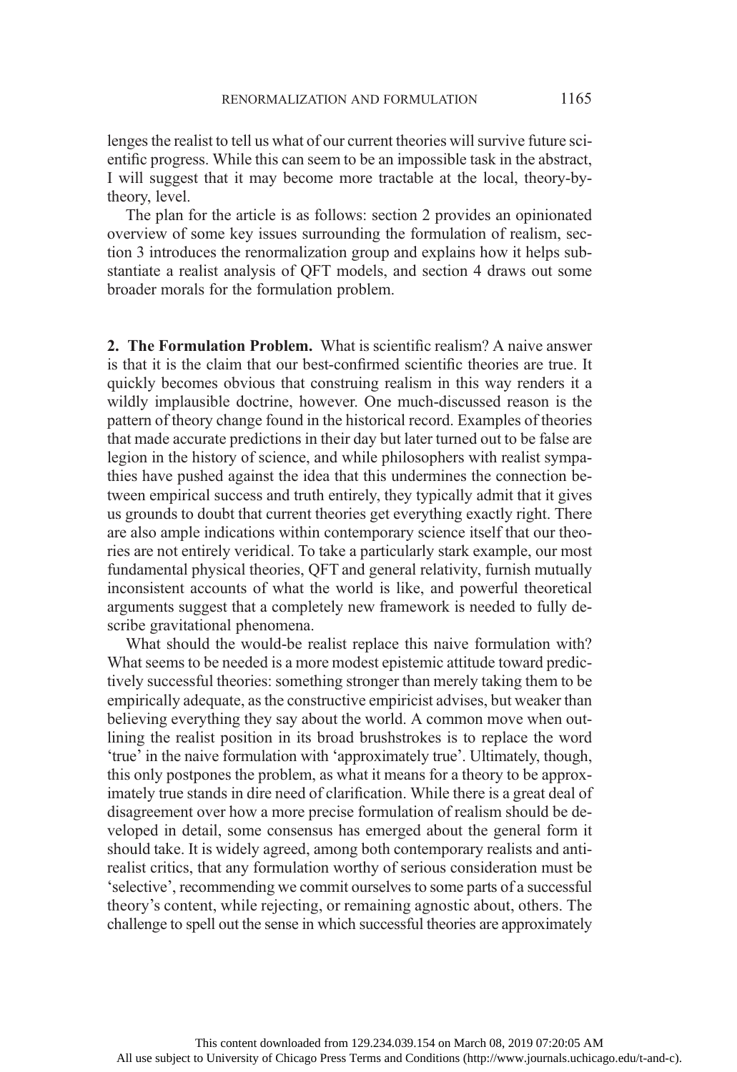lenges the realist to tell us what of our current theories will survive future scientific progress. While this can seem to be an impossible task in the abstract, I will suggest that it may become more tractable at the local, theory-bytheory, level.

The plan for the article is as follows: section 2 provides an opinionated overview of some key issues surrounding the formulation of realism, section 3 introduces the renormalization group and explains how it helps substantiate a realist analysis of QFT models, and section 4 draws out some broader morals for the formulation problem.

2. The Formulation Problem. What is scientific realism? A naive answer is that it is the claim that our best-confirmed scientific theories are true. It quickly becomes obvious that construing realism in this way renders it a wildly implausible doctrine, however. One much-discussed reason is the pattern of theory change found in the historical record. Examples of theories that made accurate predictions in their day but later turned out to be false are legion in the history of science, and while philosophers with realist sympathies have pushed against the idea that this undermines the connection between empirical success and truth entirely, they typically admit that it gives us grounds to doubt that current theories get everything exactly right. There are also ample indications within contemporary science itself that our theories are not entirely veridical. To take a particularly stark example, our most fundamental physical theories, QFT and general relativity, furnish mutually inconsistent accounts of what the world is like, and powerful theoretical arguments suggest that a completely new framework is needed to fully describe gravitational phenomena.

What should the would-be realist replace this naive formulation with? What seems to be needed is a more modest epistemic attitude toward predictively successful theories: something stronger than merely taking them to be empirically adequate, as the constructive empiricist advises, but weaker than believing everything they say about the world. A common move when outlining the realist position in its broad brushstrokes is to replace the word 'true' in the naive formulation with 'approximately true'. Ultimately, though, this only postpones the problem, as what it means for a theory to be approximately true stands in dire need of clarification. While there is a great deal of disagreement over how a more precise formulation of realism should be developed in detail, some consensus has emerged about the general form it should take. It is widely agreed, among both contemporary realists and antirealist critics, that any formulation worthy of serious consideration must be 'selective', recommending we commit ourselves to some parts of a successful theory's content, while rejecting, or remaining agnostic about, others. The challenge to spell out the sense in which successful theories are approximately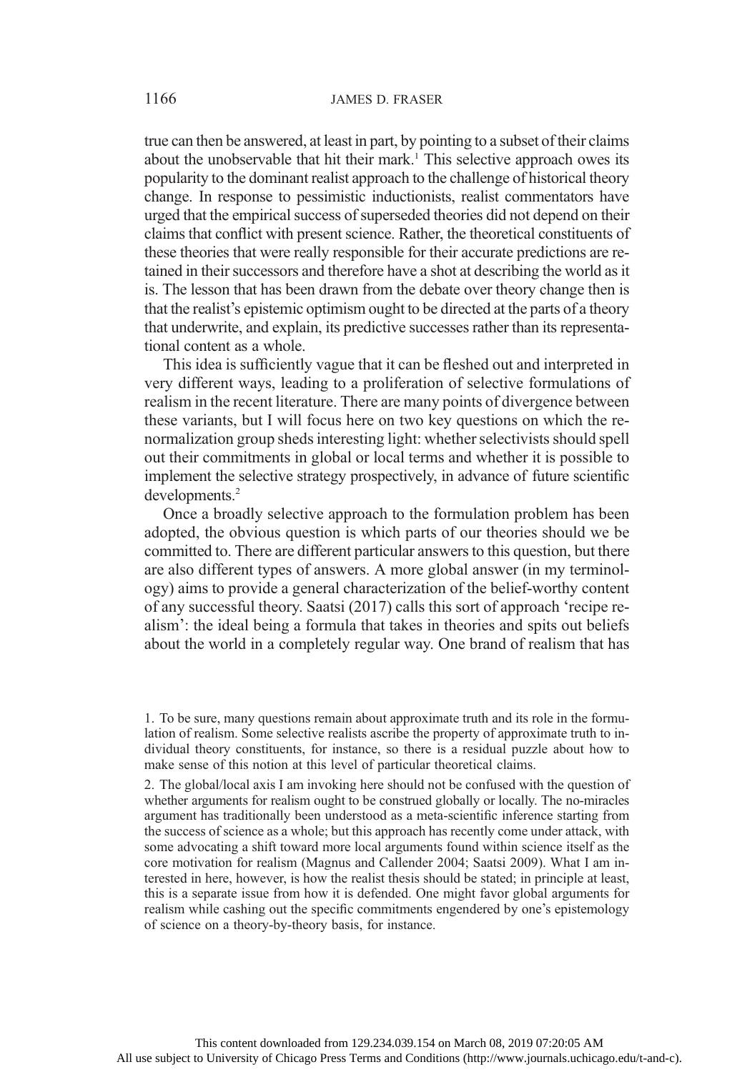true can then be answered, at least in part, by pointing to a subset of their claims about the unobservable that hit their mark.<sup>1</sup> This selective approach owes its popularity to the dominant realist approach to the challenge of historical theory change. In response to pessimistic inductionists, realist commentators have urged that the empirical success of superseded theories did not depend on their claims that conflict with present science. Rather, the theoretical constituents of these theories that were really responsible for their accurate predictions are retained in their successors and therefore have a shot at describing the world as it is. The lesson that has been drawn from the debate over theory change then is that the realist's epistemic optimism ought to be directed at the parts of a theory that underwrite, and explain, its predictive successes rather than its representational content as a whole.

This idea is sufficiently vague that it can be fleshed out and interpreted in very different ways, leading to a proliferation of selective formulations of realism in the recent literature. There are many points of divergence between these variants, but I will focus here on two key questions on which the renormalization group sheds interesting light: whether selectivists should spell out their commitments in global or local terms and whether it is possible to implement the selective strategy prospectively, in advance of future scientific developments.<sup>2</sup>

Once a broadly selective approach to the formulation problem has been adopted, the obvious question is which parts of our theories should we be committed to. There are different particular answers to this question, but there are also different types of answers. A more global answer (in my terminology) aims to provide a general characterization of the belief-worthy content of any successful theory. Saatsi (2017) calls this sort of approach 'recipe realism': the ideal being a formula that takes in theories and spits out beliefs about the world in a completely regular way. One brand of realism that has

<sup>1.</sup> To be sure, many questions remain about approximate truth and its role in the formulation of realism. Some selective realists ascribe the property of approximate truth to individual theory constituents, for instance, so there is a residual puzzle about how to make sense of this notion at this level of particular theoretical claims.

<sup>2.</sup> The global/local axis I am invoking here should not be confused with the question of whether arguments for realism ought to be construed globally or locally. The no-miracles argument has traditionally been understood as a meta-scientific inference starting from the success of science as a whole; but this approach has recently come under attack, with some advocating a shift toward more local arguments found within science itself as the core motivation for realism (Magnus and Callender 2004; Saatsi 2009). What I am interested in here, however, is how the realist thesis should be stated; in principle at least, this is a separate issue from how it is defended. One might favor global arguments for realism while cashing out the specific commitments engendered by one's epistemology of science on a theory-by-theory basis, for instance.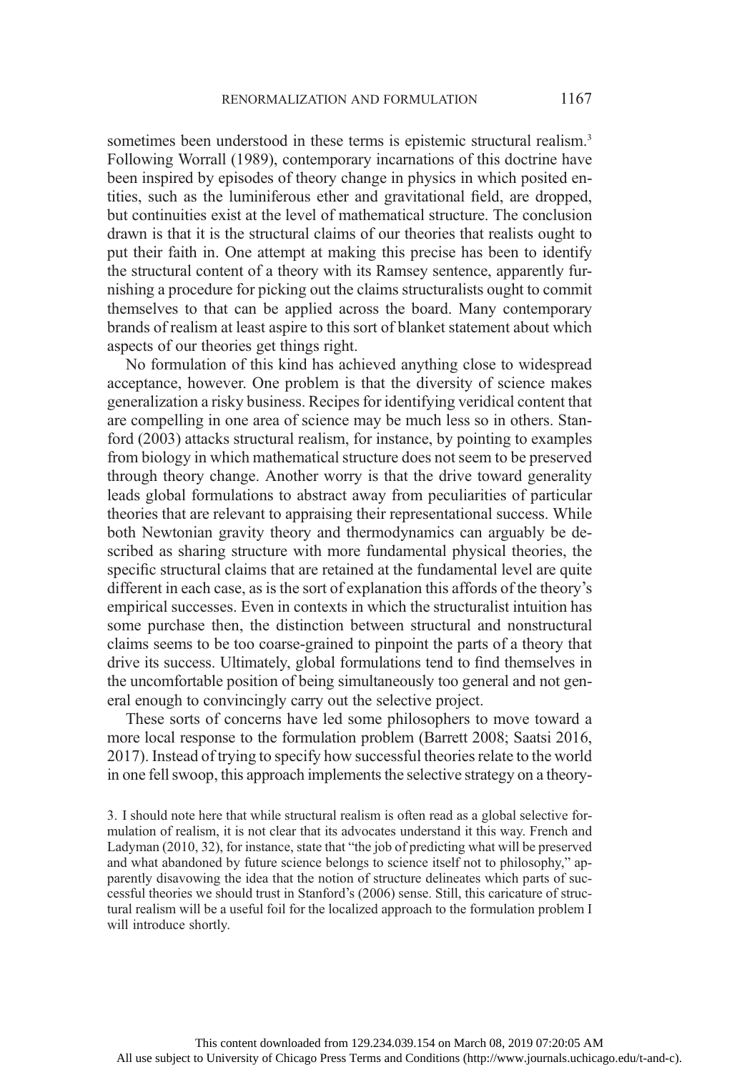sometimes been understood in these terms is epistemic structural realism.<sup>3</sup> Following Worrall (1989), contemporary incarnations of this doctrine have been inspired by episodes of theory change in physics in which posited entities, such as the luminiferous ether and gravitational field, are dropped, but continuities exist at the level of mathematical structure. The conclusion drawn is that it is the structural claims of our theories that realists ought to put their faith in. One attempt at making this precise has been to identify the structural content of a theory with its Ramsey sentence, apparently furnishing a procedure for picking out the claims structuralists ought to commit themselves to that can be applied across the board. Many contemporary brands of realism at least aspire to this sort of blanket statement about which aspects of our theories get things right.

No formulation of this kind has achieved anything close to widespread acceptance, however. One problem is that the diversity of science makes generalization a risky business. Recipes for identifying veridical content that are compelling in one area of science may be much less so in others. Stanford (2003) attacks structural realism, for instance, by pointing to examples from biology in which mathematical structure does not seem to be preserved through theory change. Another worry is that the drive toward generality leads global formulations to abstract away from peculiarities of particular theories that are relevant to appraising their representational success. While both Newtonian gravity theory and thermodynamics can arguably be described as sharing structure with more fundamental physical theories, the specific structural claims that are retained at the fundamental level are quite different in each case, as is the sort of explanation this affords of the theory's empirical successes. Even in contexts in which the structuralist intuition has some purchase then, the distinction between structural and nonstructural claims seems to be too coarse-grained to pinpoint the parts of a theory that drive its success. Ultimately, global formulations tend to find themselves in the uncomfortable position of being simultaneously too general and not general enough to convincingly carry out the selective project.

These sorts of concerns have led some philosophers to move toward a more local response to the formulation problem (Barrett 2008; Saatsi 2016, 2017). Instead of trying to specify how successful theories relate to the world in one fell swoop, this approach implements the selective strategy on a theory-

3. I should note here that while structural realism is often read as a global selective formulation of realism, it is not clear that its advocates understand it this way. French and Ladyman (2010, 32), for instance, state that "the job of predicting what will be preserved and what abandoned by future science belongs to science itself not to philosophy," apparently disavowing the idea that the notion of structure delineates which parts of successful theories we should trust in Stanford's (2006) sense. Still, this caricature of structural realism will be a useful foil for the localized approach to the formulation problem I will introduce shortly.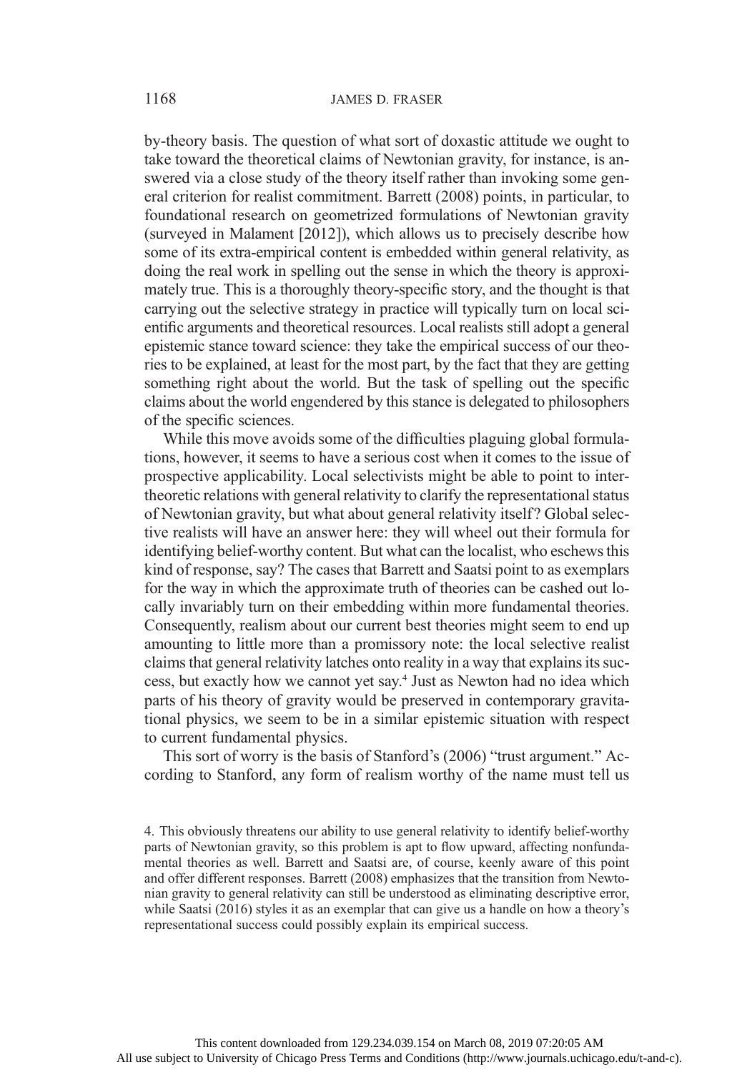by-theory basis. The question of what sort of doxastic attitude we ought to take toward the theoretical claims of Newtonian gravity, for instance, is answered via a close study of the theory itself rather than invoking some general criterion for realist commitment. Barrett (2008) points, in particular, to foundational research on geometrized formulations of Newtonian gravity (surveyed in Malament [2012]), which allows us to precisely describe how some of its extra-empirical content is embedded within general relativity, as doing the real work in spelling out the sense in which the theory is approximately true. This is a thoroughly theory-specific story, and the thought is that carrying out the selective strategy in practice will typically turn on local scientific arguments and theoretical resources. Local realists still adopt a general epistemic stance toward science: they take the empirical success of our theories to be explained, at least for the most part, by the fact that they are getting something right about the world. But the task of spelling out the specific claims about the world engendered by this stance is delegated to philosophers of the specific sciences.

While this move avoids some of the difficulties plaguing global formulations, however, it seems to have a serious cost when it comes to the issue of prospective applicability. Local selectivists might be able to point to intertheoretic relations with general relativity to clarify the representational status of Newtonian gravity, but what about general relativity itself? Global selective realists will have an answer here: they will wheel out their formula for identifying belief-worthy content. But what can the localist, who eschews this kind of response, say? The cases that Barrett and Saatsi point to as exemplars for the way in which the approximate truth of theories can be cashed out locally invariably turn on their embedding within more fundamental theories. Consequently, realism about our current best theories might seem to end up amounting to little more than a promissory note: the local selective realist claims that general relativity latches onto reality in a way that explains its success, but exactly how we cannot yet say.4 Just as Newton had no idea which parts of his theory of gravity would be preserved in contemporary gravitational physics, we seem to be in a similar epistemic situation with respect to current fundamental physics.

This sort of worry is the basis of Stanford's (2006) "trust argument." According to Stanford, any form of realism worthy of the name must tell us

<sup>4.</sup> This obviously threatens our ability to use general relativity to identify belief-worthy parts of Newtonian gravity, so this problem is apt to flow upward, affecting nonfundamental theories as well. Barrett and Saatsi are, of course, keenly aware of this point and offer different responses. Barrett (2008) emphasizes that the transition from Newtonian gravity to general relativity can still be understood as eliminating descriptive error, while Saatsi (2016) styles it as an exemplar that can give us a handle on how a theory's representational success could possibly explain its empirical success.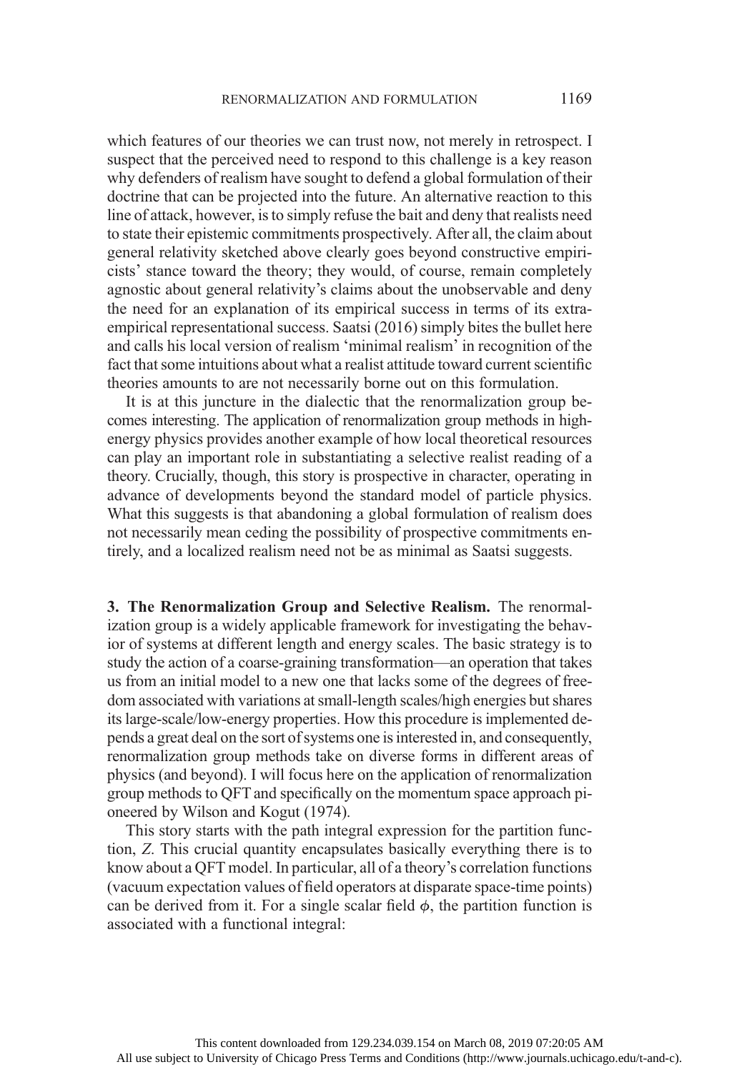which features of our theories we can trust now, not merely in retrospect. I suspect that the perceived need to respond to this challenge is a key reason why defenders of realism have sought to defend a global formulation of their doctrine that can be projected into the future. An alternative reaction to this line of attack, however, is to simply refuse the bait and deny that realists need to state their epistemic commitments prospectively. After all, the claim about general relativity sketched above clearly goes beyond constructive empiricists' stance toward the theory; they would, of course, remain completely agnostic about general relativity's claims about the unobservable and deny the need for an explanation of its empirical success in terms of its extraempirical representational success. Saatsi (2016) simply bites the bullet here and calls his local version of realism 'minimal realism' in recognition of the fact that some intuitions about what a realist attitude toward current scientific theories amounts to are not necessarily borne out on this formulation.

It is at this juncture in the dialectic that the renormalization group becomes interesting. The application of renormalization group methods in highenergy physics provides another example of how local theoretical resources can play an important role in substantiating a selective realist reading of a theory. Crucially, though, this story is prospective in character, operating in advance of developments beyond the standard model of particle physics. What this suggests is that abandoning a global formulation of realism does not necessarily mean ceding the possibility of prospective commitments entirely, and a localized realism need not be as minimal as Saatsi suggests.

3. The Renormalization Group and Selective Realism. The renormalization group is a widely applicable framework for investigating the behavior of systems at different length and energy scales. The basic strategy is to study the action of a coarse-graining transformation—an operation that takes us from an initial model to a new one that lacks some of the degrees of freedom associated with variations at small-length scales/high energies but shares its large-scale/low-energy properties. How this procedure is implemented depends a great deal on the sort of systems one is interested in, and consequently, renormalization group methods take on diverse forms in different areas of physics (and beyond). I will focus here on the application of renormalization group methods to QFT and specifically on the momentum space approach pioneered by Wilson and Kogut (1974).

This story starts with the path integral expression for the partition function, Z. This crucial quantity encapsulates basically everything there is to know about a QFT model. In particular, all of a theory's correlation functions (vacuum expectation values of field operators at disparate space-time points) can be derived from it. For a single scalar field  $\phi$ , the partition function is associated with a functional integral: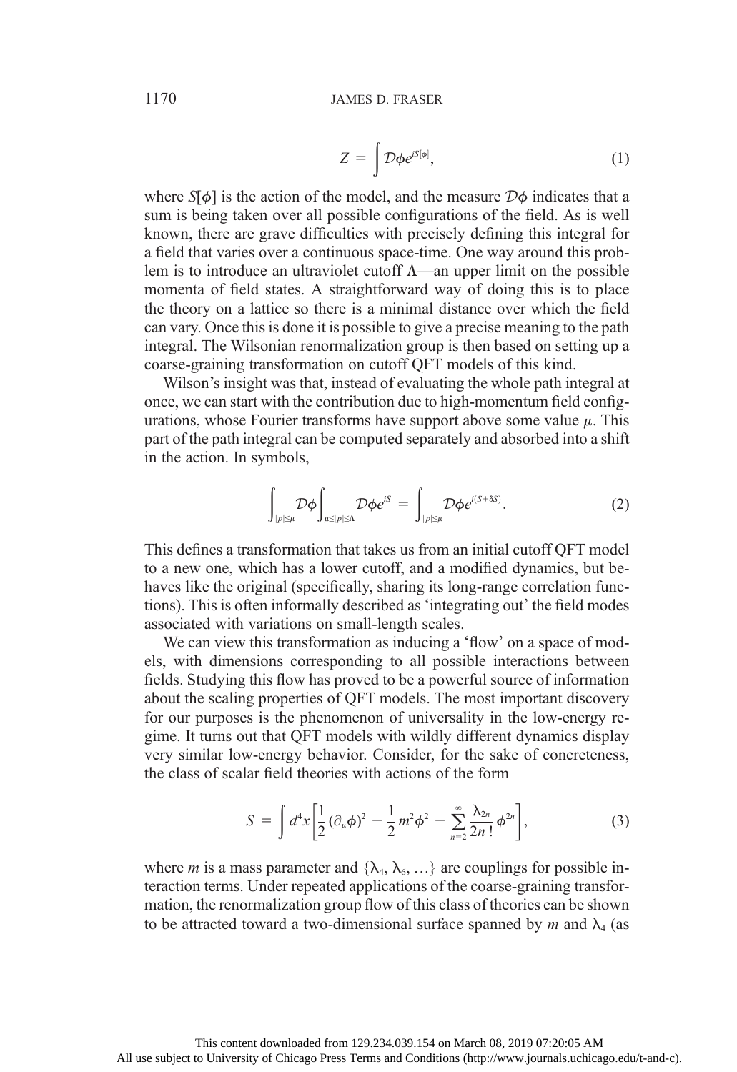$$
Z = \int \mathcal{D}\phi e^{iS[\phi]},\tag{1}
$$

where  $S[\phi]$  is the action of the model, and the measure  $\mathcal{D}\phi$  indicates that a sum is being taken over all possible configurations of the field. As is well known, there are grave difficulties with precisely defining this integral for a field that varies over a continuous space-time. One way around this problem is to introduce an ultraviolet cutoff  $\Lambda$ —an upper limit on the possible momenta of field states. A straightforward way of doing this is to place the theory on a lattice so there is a minimal distance over which the field can vary. Once this is done it is possible to give a precise meaning to the path integral. The Wilsonian renormalization group is then based on setting up a coarse-graining transformation on cutoff QFT models of this kind.

Wilson's insight was that, instead of evaluating the whole path integral at once, we can start with the contribution due to high-momentum field configurations, whose Fourier transforms have support above some value  $\mu$ . This part of the path integral can be computed separately and absorbed into a shift in the action. In symbols,

$$
\int_{|p| \le \mu} \mathcal{D}\phi \int_{\mu \le |p| \le \Lambda} \mathcal{D}\phi e^{iS} = \int_{|p| \le \mu} \mathcal{D}\phi e^{i(S+\delta S)}.
$$
 (2)

This defines a transformation that takes us from an initial cutoff QFT model to a new one, which has a lower cutoff, and a modified dynamics, but behaves like the original (specifically, sharing its long-range correlation functions). This is often informally described as 'integrating out' the field modes associated with variations on small-length scales.

We can view this transformation as inducing a 'flow' on a space of models, with dimensions corresponding to all possible interactions between fields. Studying this flow has proved to be a powerful source of information about the scaling properties of QFT models. The most important discovery for our purposes is the phenomenon of universality in the low-energy regime. It turns out that QFT models with wildly different dynamics display very similar low-energy behavior. Consider, for the sake of concreteness, the class of scalar field theories with actions of the form

$$
S = \int d^4x \left[ \frac{1}{2} (\partial_\mu \phi)^2 - \frac{1}{2} m^2 \phi^2 - \sum_{n=2}^\infty \frac{\lambda_{2n}}{2n!} \phi^{2n} \right],
$$
 (3)

where *m* is a mass parameter and  $\{\lambda_4, \lambda_6, ...\}$  are couplings for possible interaction terms. Under repeated applications of the coarse-graining transformation, the renormalization group flow of this class of theories can be shown to be attracted toward a two-dimensional surface spanned by m and  $\lambda_4$  (as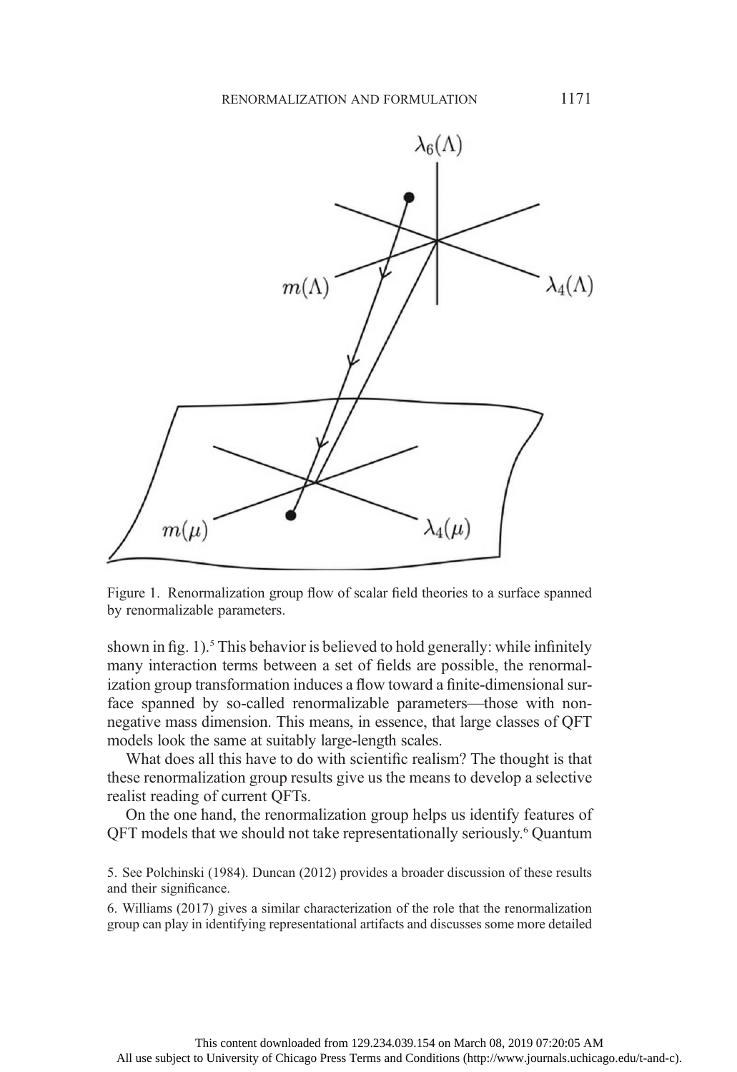

Figure 1. Renormalization group flow of scalar field theories to a surface spanned by renormalizable parameters.

shown in fig.  $1$ ).<sup>5</sup> This behavior is believed to hold generally: while infinitely many interaction terms between a set of fields are possible, the renormalization group transformation induces a flow toward a finite-dimensional surface spanned by so-called renormalizable parameters—those with nonnegative mass dimension. This means, in essence, that large classes of QFT models look the same at suitably large-length scales.

What does all this have to do with scientific realism? The thought is that these renormalization group results give us the means to develop a selective realist reading of current QFTs.

On the one hand, the renormalization group helps us identify features of QFT models that we should not take representationally seriously.<sup>6</sup> Quantum

6. Williams (2017) gives a similar characterization of the role that the renormalization group can play in identifying representational artifacts and discusses some more detailed

<sup>5.</sup> See Polchinski (1984). Duncan (2012) provides a broader discussion of these results and their significance.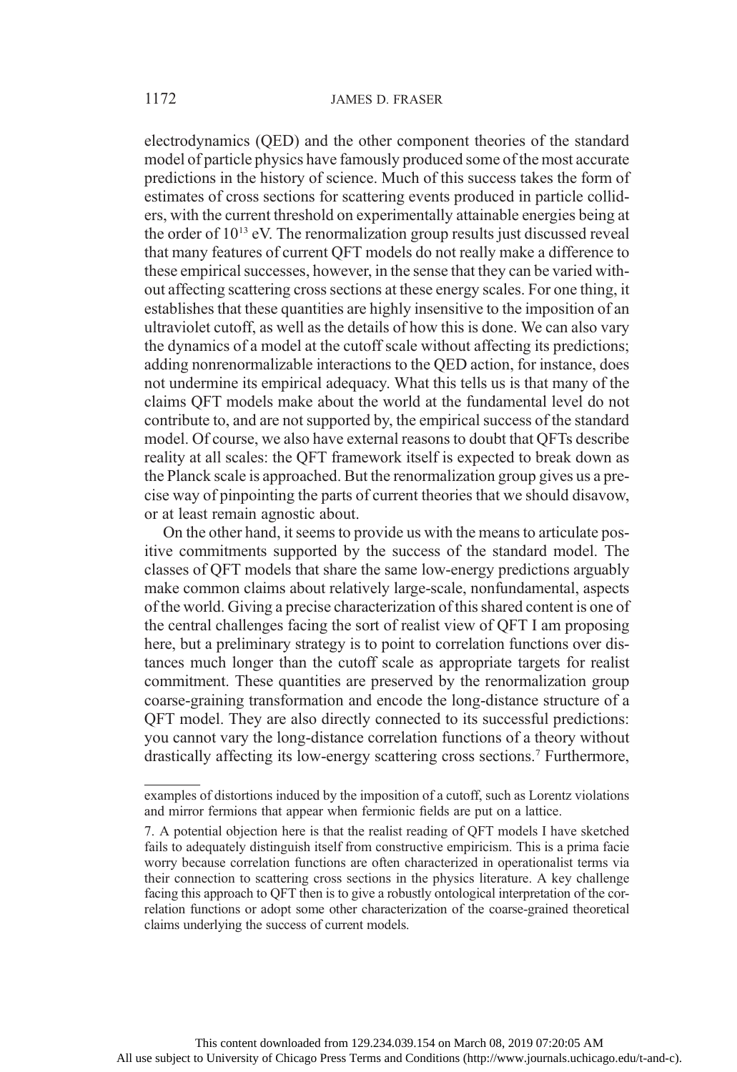electrodynamics (QED) and the other component theories of the standard model of particle physics have famously produced some of the most accurate predictions in the history of science. Much of this success takes the form of estimates of cross sections for scattering events produced in particle colliders, with the current threshold on experimentally attainable energies being at the order of 1013 eV. The renormalization group results just discussed reveal that many features of current QFT models do not really make a difference to these empirical successes, however, in the sense that they can be varied without affecting scattering cross sections at these energy scales. For one thing, it establishes that these quantities are highly insensitive to the imposition of an ultraviolet cutoff, as well as the details of how this is done. We can also vary the dynamics of a model at the cutoff scale without affecting its predictions; adding nonrenormalizable interactions to the QED action, for instance, does not undermine its empirical adequacy. What this tells us is that many of the claims QFT models make about the world at the fundamental level do not contribute to, and are not supported by, the empirical success of the standard model. Of course, we also have external reasons to doubt that QFTs describe reality at all scales: the QFT framework itself is expected to break down as the Planck scale is approached. But the renormalization group gives us a precise way of pinpointing the parts of current theories that we should disavow, or at least remain agnostic about.

On the other hand, it seems to provide us with the means to articulate positive commitments supported by the success of the standard model. The classes of QFT models that share the same low-energy predictions arguably make common claims about relatively large-scale, nonfundamental, aspects of the world. Giving a precise characterization of this shared content is one of the central challenges facing the sort of realist view of QFT I am proposing here, but a preliminary strategy is to point to correlation functions over distances much longer than the cutoff scale as appropriate targets for realist commitment. These quantities are preserved by the renormalization group coarse-graining transformation and encode the long-distance structure of a QFT model. They are also directly connected to its successful predictions: you cannot vary the long-distance correlation functions of a theory without drastically affecting its low-energy scattering cross sections.7 Furthermore,

examples of distortions induced by the imposition of a cutoff, such as Lorentz violations and mirror fermions that appear when fermionic fields are put on a lattice.

<sup>7.</sup> A potential objection here is that the realist reading of QFT models I have sketched fails to adequately distinguish itself from constructive empiricism. This is a prima facie worry because correlation functions are often characterized in operationalist terms via their connection to scattering cross sections in the physics literature. A key challenge facing this approach to QFT then is to give a robustly ontological interpretation of the correlation functions or adopt some other characterization of the coarse-grained theoretical claims underlying the success of current models.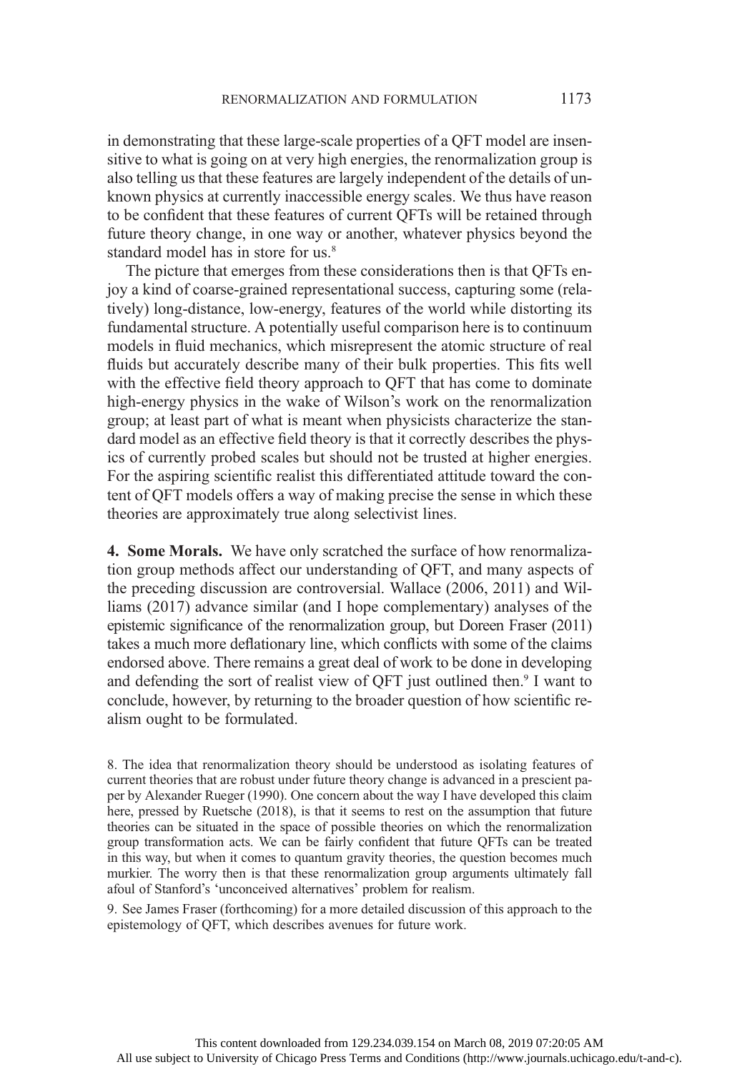in demonstrating that these large-scale properties of a QFT model are insensitive to what is going on at very high energies, the renormalization group is also telling us that these features are largely independent of the details of unknown physics at currently inaccessible energy scales. We thus have reason to be confident that these features of current QFTs will be retained through future theory change, in one way or another, whatever physics beyond the standard model has in store for us.<sup>8</sup>

The picture that emerges from these considerations then is that QFTs enjoy a kind of coarse-grained representational success, capturing some (relatively) long-distance, low-energy, features of the world while distorting its fundamental structure. A potentially useful comparison here is to continuum models in fluid mechanics, which misrepresent the atomic structure of real fluids but accurately describe many of their bulk properties. This fits well with the effective field theory approach to QFT that has come to dominate high-energy physics in the wake of Wilson's work on the renormalization group; at least part of what is meant when physicists characterize the standard model as an effective field theory is that it correctly describes the physics of currently probed scales but should not be trusted at higher energies. For the aspiring scientific realist this differentiated attitude toward the content of QFT models offers a way of making precise the sense in which these theories are approximately true along selectivist lines.

4. Some Morals. We have only scratched the surface of how renormalization group methods affect our understanding of QFT, and many aspects of the preceding discussion are controversial. Wallace (2006, 2011) and Williams (2017) advance similar (and I hope complementary) analyses of the epistemic significance of the renormalization group, but Doreen Fraser (2011) takes a much more deflationary line, which conflicts with some of the claims endorsed above. There remains a great deal of work to be done in developing and defending the sort of realist view of OFT just outlined then.<sup>9</sup> I want to conclude, however, by returning to the broader question of how scientific realism ought to be formulated.

8. The idea that renormalization theory should be understood as isolating features of current theories that are robust under future theory change is advanced in a prescient paper by Alexander Rueger (1990). One concern about the way I have developed this claim here, pressed by Ruetsche (2018), is that it seems to rest on the assumption that future theories can be situated in the space of possible theories on which the renormalization group transformation acts. We can be fairly confident that future QFTs can be treated in this way, but when it comes to quantum gravity theories, the question becomes much murkier. The worry then is that these renormalization group arguments ultimately fall afoul of Stanford's 'unconceived alternatives' problem for realism.

9. See James Fraser (forthcoming) for a more detailed discussion of this approach to the epistemology of QFT, which describes avenues for future work.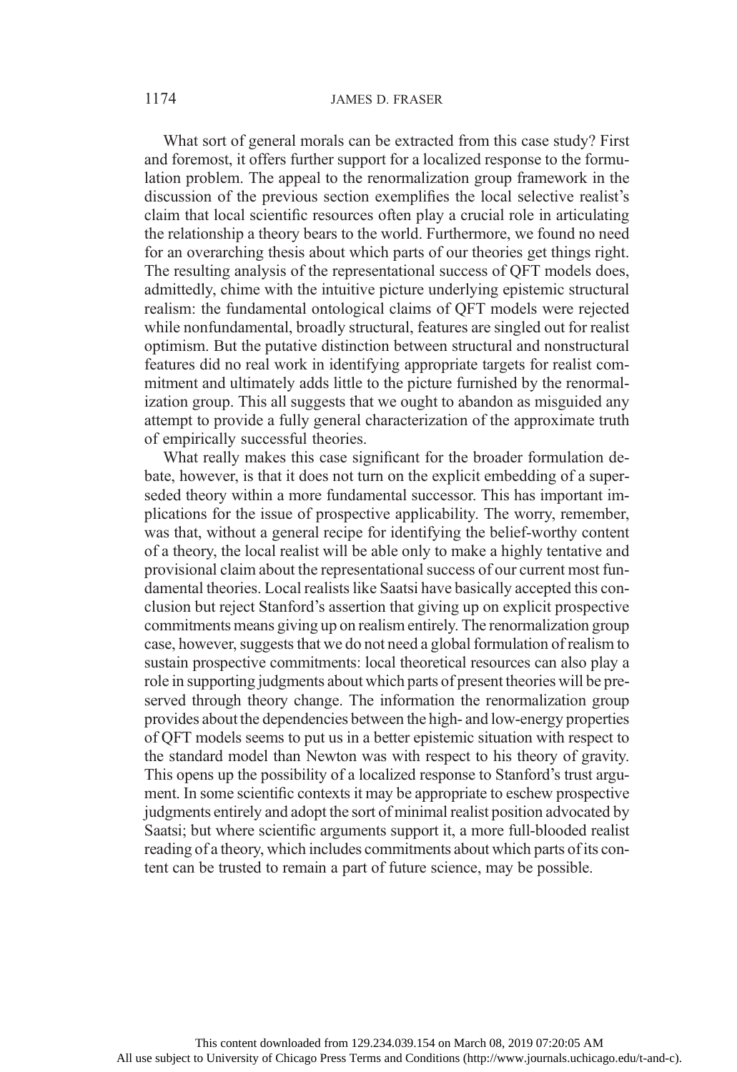#### 1174 JAMES D. FRASER

What sort of general morals can be extracted from this case study? First and foremost, it offers further support for a localized response to the formulation problem. The appeal to the renormalization group framework in the discussion of the previous section exemplifies the local selective realist's claim that local scientific resources often play a crucial role in articulating the relationship a theory bears to the world. Furthermore, we found no need for an overarching thesis about which parts of our theories get things right. The resulting analysis of the representational success of QFT models does, admittedly, chime with the intuitive picture underlying epistemic structural realism: the fundamental ontological claims of QFT models were rejected while nonfundamental, broadly structural, features are singled out for realist optimism. But the putative distinction between structural and nonstructural features did no real work in identifying appropriate targets for realist commitment and ultimately adds little to the picture furnished by the renormalization group. This all suggests that we ought to abandon as misguided any attempt to provide a fully general characterization of the approximate truth of empirically successful theories.

What really makes this case significant for the broader formulation debate, however, is that it does not turn on the explicit embedding of a superseded theory within a more fundamental successor. This has important implications for the issue of prospective applicability. The worry, remember, was that, without a general recipe for identifying the belief-worthy content of a theory, the local realist will be able only to make a highly tentative and provisional claim about the representational success of our current most fundamental theories. Local realists like Saatsi have basically accepted this conclusion but reject Stanford's assertion that giving up on explicit prospective commitments means giving up on realism entirely. The renormalization group case, however, suggests that we do not need a global formulation of realism to sustain prospective commitments: local theoretical resources can also play a role in supporting judgments about which parts of present theories will be preserved through theory change. The information the renormalization group provides about the dependencies between the high- and low-energy properties of QFT models seems to put us in a better epistemic situation with respect to the standard model than Newton was with respect to his theory of gravity. This opens up the possibility of a localized response to Stanford's trust argument. In some scientific contexts it may be appropriate to eschew prospective judgments entirely and adopt the sort of minimal realist position advocated by Saatsi; but where scientific arguments support it, a more full-blooded realist reading of a theory, which includes commitments about which parts of its content can be trusted to remain a part of future science, may be possible.